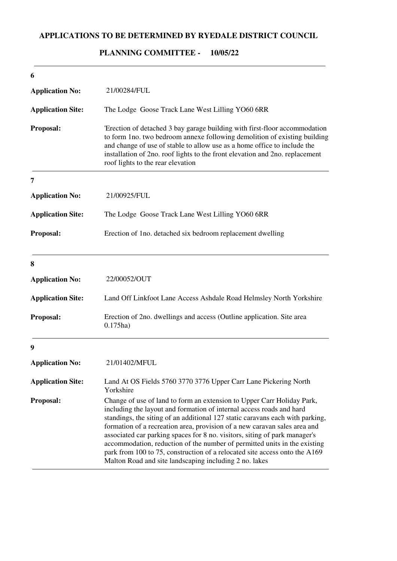## **APPLICATIONS TO BE DETERMINED BY RYEDALE DISTRICT COUNCIL**

## **10/05/22 PLANNING COMMITTEE -**

| 6                        |                                                                                                                                                                                                                                                                                                                                                                                                                                                                                                                                                                                                                 |
|--------------------------|-----------------------------------------------------------------------------------------------------------------------------------------------------------------------------------------------------------------------------------------------------------------------------------------------------------------------------------------------------------------------------------------------------------------------------------------------------------------------------------------------------------------------------------------------------------------------------------------------------------------|
| <b>Application No:</b>   | 21/00284/FUL                                                                                                                                                                                                                                                                                                                                                                                                                                                                                                                                                                                                    |
| <b>Application Site:</b> | The Lodge Goose Track Lane West Lilling YO60 6RR                                                                                                                                                                                                                                                                                                                                                                                                                                                                                                                                                                |
| Proposal:                | 'Erection of detached 3 bay garage building with first-floor accommodation<br>to form 1no. two bedroom annexe following demolition of existing building<br>and change of use of stable to allow use as a home office to include the<br>installation of 2no. roof lights to the front elevation and 2no. replacement<br>roof lights to the rear elevation                                                                                                                                                                                                                                                        |
| 7                        |                                                                                                                                                                                                                                                                                                                                                                                                                                                                                                                                                                                                                 |
| <b>Application No:</b>   | 21/00925/FUL                                                                                                                                                                                                                                                                                                                                                                                                                                                                                                                                                                                                    |
| <b>Application Site:</b> | The Lodge Goose Track Lane West Lilling YO60 6RR                                                                                                                                                                                                                                                                                                                                                                                                                                                                                                                                                                |
| Proposal:                | Erection of 1no. detached six bedroom replacement dwelling                                                                                                                                                                                                                                                                                                                                                                                                                                                                                                                                                      |
| 8                        |                                                                                                                                                                                                                                                                                                                                                                                                                                                                                                                                                                                                                 |
| <b>Application No:</b>   | 22/00052/OUT                                                                                                                                                                                                                                                                                                                                                                                                                                                                                                                                                                                                    |
| <b>Application Site:</b> | Land Off Linkfoot Lane Access Ashdale Road Helmsley North Yorkshire                                                                                                                                                                                                                                                                                                                                                                                                                                                                                                                                             |
| Proposal:                | Erection of 2no. dwellings and access (Outline application. Site area<br>$0.175$ ha)                                                                                                                                                                                                                                                                                                                                                                                                                                                                                                                            |
| 9                        |                                                                                                                                                                                                                                                                                                                                                                                                                                                                                                                                                                                                                 |
| <b>Application No:</b>   | 21/01402/MFUL                                                                                                                                                                                                                                                                                                                                                                                                                                                                                                                                                                                                   |
| <b>Application Site:</b> | Land At OS Fields 5760 3770 3776 Upper Carr Lane Pickering North<br>Yorkshire                                                                                                                                                                                                                                                                                                                                                                                                                                                                                                                                   |
| Proposal:                | Change of use of land to form an extension to Upper Carr Holiday Park,<br>including the layout and formation of internal access roads and hard<br>standings, the siting of an additional 127 static caravans each with parking,<br>formation of a recreation area, provision of a new caravan sales area and<br>associated car parking spaces for 8 no. visitors, siting of park manager's<br>accommodation, reduction of the number of permitted units in the existing<br>park from 100 to 75, construction of a relocated site access onto the A169<br>Malton Road and site landscaping including 2 no. lakes |